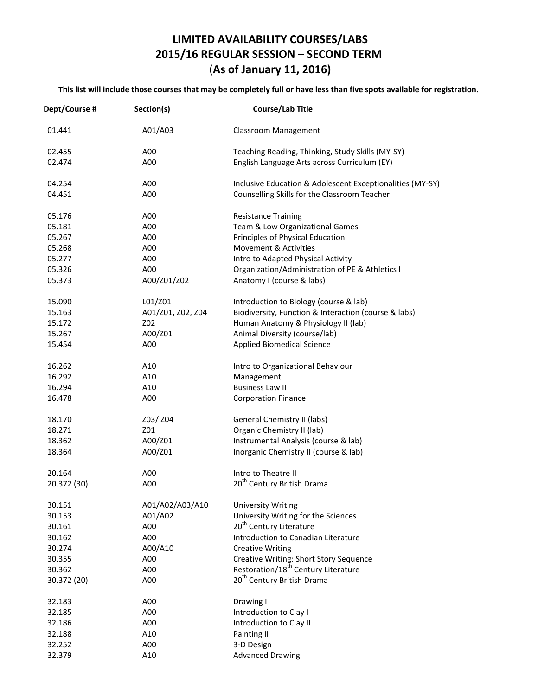## **LIMITED AVAILABILITY COURSES/LABS 2015/16 REGULAR SESSION – SECOND TERM** (**As of January 11, 2016)**

**This list will include those courses that may be completely full or have less than five spots available for registration.**

| Dept/Course # | Section(s)        | Course/Lab Title                                          |
|---------------|-------------------|-----------------------------------------------------------|
| 01.441        | A01/A03           | <b>Classroom Management</b>                               |
| 02.455        | A00               | Teaching Reading, Thinking, Study Skills (MY-SY)          |
| 02.474        | A00               | English Language Arts across Curriculum (EY)              |
| 04.254        | A00               | Inclusive Education & Adolescent Exceptionalities (MY-SY) |
| 04.451        | A00               | Counselling Skills for the Classroom Teacher              |
| 05.176        | A00               | <b>Resistance Training</b>                                |
| 05.181        | A00               | Team & Low Organizational Games                           |
| 05.267        | A00               | Principles of Physical Education                          |
| 05.268        | A00               | Movement & Activities                                     |
| 05.277        | A00               | Intro to Adapted Physical Activity                        |
| 05.326        | A00               | Organization/Administration of PE & Athletics I           |
| 05.373        | A00/Z01/Z02       | Anatomy I (course & labs)                                 |
| 15.090        | L01/Z01           | Introduction to Biology (course & lab)                    |
| 15.163        | A01/Z01, Z02, Z04 | Biodiversity, Function & Interaction (course & labs)      |
| 15.172        | Z02               | Human Anatomy & Physiology II (lab)                       |
| 15.267        | A00/Z01           | Animal Diversity (course/lab)                             |
| 15.454        | A00               | <b>Applied Biomedical Science</b>                         |
| 16.262        | A10               | Intro to Organizational Behaviour                         |
| 16.292        | A10               | Management                                                |
| 16.294        | A10               | <b>Business Law II</b>                                    |
| 16.478        | A00               | <b>Corporation Finance</b>                                |
| 18.170        | Z03/ Z04          | General Chemistry II (labs)                               |
| 18.271        | Z01               | Organic Chemistry II (lab)                                |
| 18.362        | A00/Z01           | Instrumental Analysis (course & lab)                      |
| 18.364        | A00/Z01           | Inorganic Chemistry II (course & lab)                     |
| 20.164        | A00               | Intro to Theatre II                                       |
| 20.372 (30)   | A00               | 20 <sup>th</sup> Century British Drama                    |
| 30.151        | A01/A02/A03/A10   | <b>University Writing</b>                                 |
| 30.153        | A01/A02           | University Writing for the Sciences                       |
| 30.161        | A00               | 20 <sup>th</sup> Century Literature                       |
| 30.162        | A00               | Introduction to Canadian Literature                       |
| 30.274        | A00/A10           | <b>Creative Writing</b>                                   |
| 30.355        | A00               | <b>Creative Writing: Short Story Sequence</b>             |
| 30.362        | A00               | Restoration/18 <sup>th</sup> Century Literature           |
| 30.372 (20)   | A00               | 20 <sup>th</sup> Century British Drama                    |
| 32.183        | A00               | Drawing I                                                 |
| 32.185        | A00               | Introduction to Clay I                                    |
| 32.186        | A00               | Introduction to Clay II                                   |
| 32.188        | A10               | Painting II                                               |
| 32.252        | A00               | 3-D Design                                                |
| 32.379        | A10               | <b>Advanced Drawing</b>                                   |